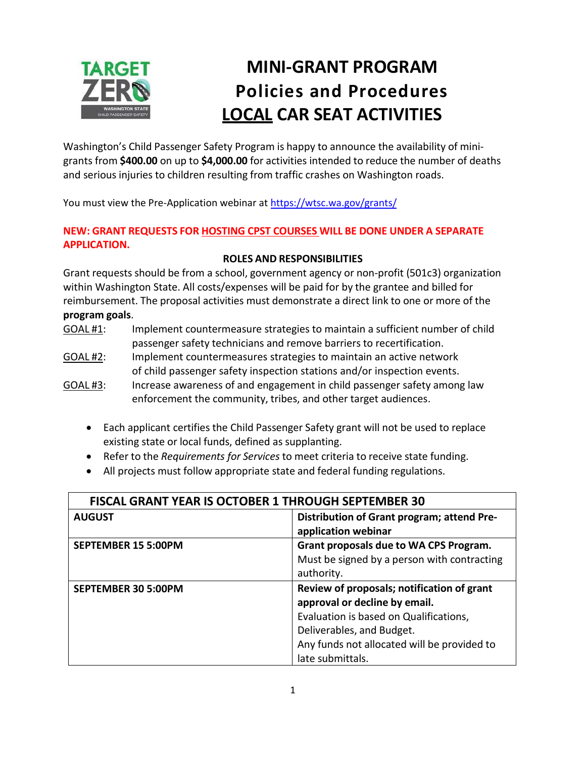

# **MINI-GRANT PROGRAM Policies and Procedures LOCAL CAR SEAT ACTIVITIES**

Washington's Child Passenger Safety Program is happy to announce the availability of minigrants from **\$400.00** on up to **\$4,000.00** for activities intended to reduce the number of deaths and serious injuries to children resulting from traffic crashes on Washington roads.

You must view the Pre-Application webinar a[t https://wtsc.wa.gov/grants/](https://wtsc.wa.gov/grants/)

#### **NEW: GRANT REQUESTS FOR HOSTING CPST COURSES WILL BE DONE UNDER A SEPARATE APPLICATION.**

#### **ROLES AND RESPONSIBILITIES**

Grant requests should be from a school, government agency or non-profit (501c3) organization within Washington State. All costs/expenses will be paid for by the grantee and billed for reimbursement. The proposal activities must demonstrate a direct link to one or more of the **program goals**.

- GOAL #1: Implement countermeasure strategies to maintain a sufficient number of child passenger safety technicians and remove barriers to recertification.
- GOAL #2: Implement countermeasures strategies to maintain an active network of child passenger safety inspection stations and/or inspection events.
- GOAL #3: Increase awareness of and engagement in child passenger safety among law enforcement the community, tribes, and other target audiences.
	- Each applicant certifies the Child Passenger Safety grant will not be used to replace existing state or local funds, defined as supplanting.
	- Refer to the *Requirements for Services* to meet criteria to receive state funding.
	- All projects must follow appropriate state and federal funding regulations.

| <b>FISCAL GRANT YEAR IS OCTOBER 1 THROUGH SEPTEMBER 30</b> |                                             |
|------------------------------------------------------------|---------------------------------------------|
| <b>AUGUST</b>                                              | Distribution of Grant program; attend Pre-  |
|                                                            | application webinar                         |
| <b>SEPTEMBER 15 5:00PM</b>                                 | Grant proposals due to WA CPS Program.      |
|                                                            | Must be signed by a person with contracting |
|                                                            | authority.                                  |
| <b>SEPTEMBER 30 5:00PM</b>                                 | Review of proposals; notification of grant  |
|                                                            |                                             |
|                                                            | approval or decline by email.               |
|                                                            | Evaluation is based on Qualifications,      |
|                                                            | Deliverables, and Budget.                   |
|                                                            | Any funds not allocated will be provided to |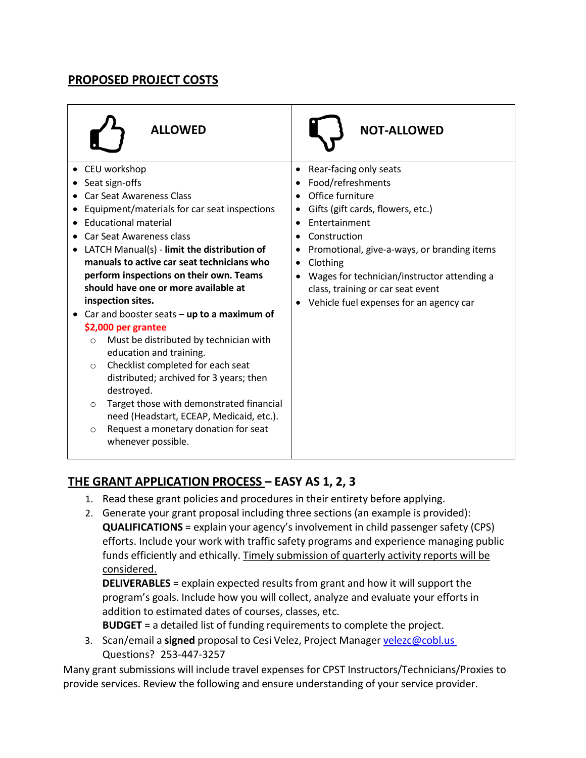# **PROPOSED PROJECT COSTS**

| <b>ALLOWED</b>                                                                                                                                                                                                                                                                                                                                                                                                                                                                                                                                                                                                                                                                                                                                                                                                                       | <b>NOT-ALLOWED</b>                                                                                                                                                                                                                                                                                                                                        |
|--------------------------------------------------------------------------------------------------------------------------------------------------------------------------------------------------------------------------------------------------------------------------------------------------------------------------------------------------------------------------------------------------------------------------------------------------------------------------------------------------------------------------------------------------------------------------------------------------------------------------------------------------------------------------------------------------------------------------------------------------------------------------------------------------------------------------------------|-----------------------------------------------------------------------------------------------------------------------------------------------------------------------------------------------------------------------------------------------------------------------------------------------------------------------------------------------------------|
| CEU workshop<br>Seat sign-offs<br><b>Car Seat Awareness Class</b><br>Equipment/materials for car seat inspections<br><b>Educational material</b><br><b>Car Seat Awareness class</b><br>LATCH Manual(s) - limit the distribution of<br>manuals to active car seat technicians who<br>perform inspections on their own. Teams<br>should have one or more available at<br>inspection sites.<br>Car and booster seats $-$ up to a maximum of<br>\$2,000 per grantee<br>Must be distributed by technician with<br>$\circ$<br>education and training.<br>Checklist completed for each seat<br>$\circ$<br>distributed; archived for 3 years; then<br>destroyed.<br>Target those with demonstrated financial<br>$\circ$<br>need (Headstart, ECEAP, Medicaid, etc.).<br>Request a monetary donation for seat<br>$\circ$<br>whenever possible. | Rear-facing only seats<br>Food/refreshments<br>Office furniture<br>Gifts (gift cards, flowers, etc.)<br>Entertainment<br>Construction<br>$\bullet$<br>Promotional, give-a-ways, or branding items<br>Clothing<br>$\bullet$<br>Wages for technician/instructor attending a<br>class, training or car seat event<br>Vehicle fuel expenses for an agency car |

# **THE GRANT APPLICATION PROCESS – EASY AS 1, 2, 3**

- 1. Read these grant policies and procedures in their entirety before applying.
- 2. Generate your grant proposal including three sections (an example is provided): **QUALIFICATIONS** = explain your agency's involvement in child passenger safety (CPS) efforts. Include your work with traffic safety programs and experience managing public funds efficiently and ethically. Timely submission of quarterly activity reports will be considered.

**DELIVERABLES** = explain expected results from grant and how it will support the program's goals. Include how you will collect, analyze and evaluate your efforts in addition to estimated dates of courses, classes, etc.

**BUDGET** = a detailed list of funding requirements to complete the project.

3. Scan/email a **signed** proposal to Cesi Velez, Project Manager [velezc@cobl.us](mailto:velezc@cobl.us) Questions? 253-447-3257

Many grant submissions will include travel expenses for CPST Instructors/Technicians/Proxies to provide services. Review the following and ensure understanding of your service provider.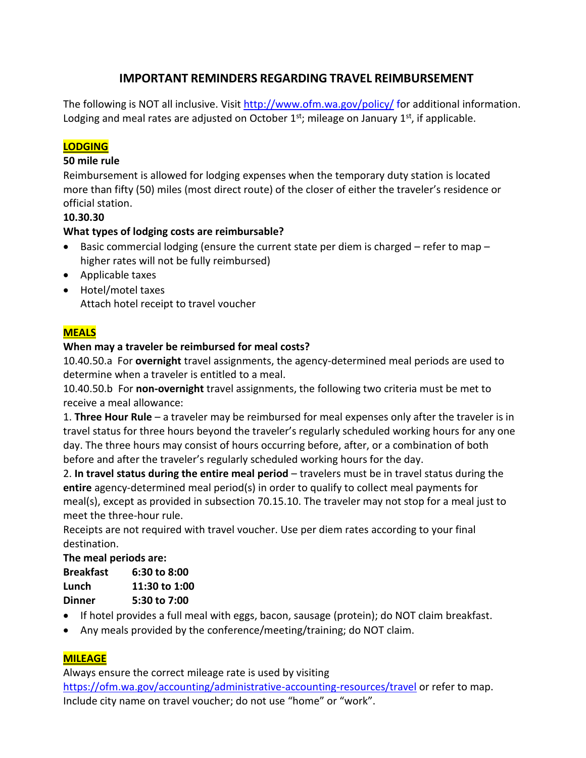# **IMPORTANT REMINDERS REGARDING TRAVEL REIMBURSEMENT**

The following is NOT all inclusive. Visit <http://www.ofm.wa.gov/policy/> for additional information. Lodging and meal rates are adjusted on October  $1^{st}$ ; mileage on January  $1^{st}$ , if applicable.

### **LODGING**

#### **50 mile rule**

Reimbursement is allowed for lodging expenses when the temporary duty station is located more than fifty (50) miles (most direct route) of the closer of either the traveler's residence or official station.

#### **10.30.30**

#### **What types of lodging costs are reimbursable?**

- Basic commercial lodging (ensure the current state per diem is charged refer to map higher rates will not be fully reimbursed)
- Applicable taxes
- Hotel/motel taxes Attach hotel receipt to travel voucher

#### **MEALS**

#### **When may a traveler be reimbursed for meal costs?**

10.40.50.a For **overnight** travel assignments, the agency-determined meal periods are used to determine when a traveler is entitled to a meal.

10.40.50.b For **non-overnight** travel assignments, the following two criteria must be met to receive a meal allowance:

1. **Three Hour Rule** – a traveler may be reimbursed for meal expenses only after the traveler is in travel status for three hours beyond the traveler's regularly scheduled working hours for any one day. The three hours may consist of hours occurring before, after, or a combination of both before and after the traveler's regularly scheduled working hours for the day.

2. **In travel status during the entire meal period** – travelers must be in travel status during the **entire** agency-determined meal period(s) in order to qualify to collect meal payments for meal(s), except as provided in subsection 70.15.10. The traveler may not stop for a meal just to meet the three-hour rule.

Receipts are not required with travel voucher. Use per diem rates according to your final destination.

#### **The meal periods are:**

| <b>Breakfast</b> | 6:30 to 8:00  |
|------------------|---------------|
| Lunch            | 11:30 to 1:00 |
| <b>Dinner</b>    | 5:30 to 7:00  |

- If hotel provides a full meal with eggs, bacon, sausage (protein); do NOT claim breakfast.
- Any meals provided by the conference/meeting/training; do NOT claim.

#### **MILEAGE**

Always ensure the correct mileage rate is used by visiting

<https://ofm.wa.gov/accounting/administrative-accounting-resources/travel> or refer to map. Include city name on travel voucher; do not use "home" or "work".